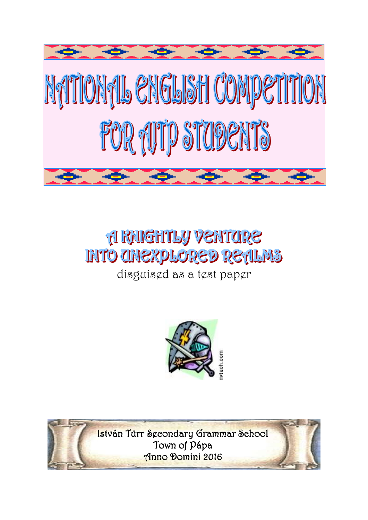

# **A RAIGHTLY VENTORE INTO CHIEXPLORED RETILMS**

disguised as a test paper



István Türr Secondary Grammar School Town of Pápa Anno Domini 2016

 $\overline{\phantom{a}}$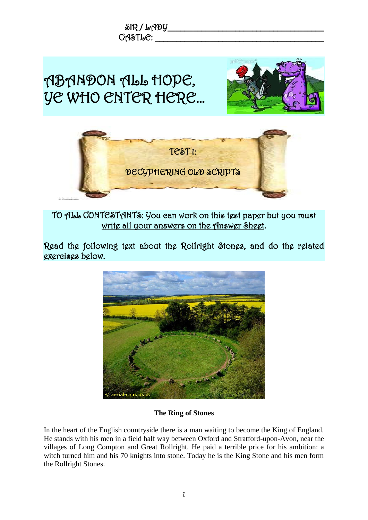

TO ALL CONTESTANTS: You can work on this test paper but you must write all your answers on the Answer Sheet.

Read the following text about the Rollright Stones, and do the related exercises below.



#### **The Ring of Stones**

In the heart of the English countryside there is a man waiting to become the King of England. He stands with his men in a field half way between Oxford and Stratford-upon-Avon, near the villages of Long Compton and Great Rollright. He paid a terrible price for his ambition: a witch turned him and his 70 knights into stone. Today he is the King Stone and his men form the Rollright Stones.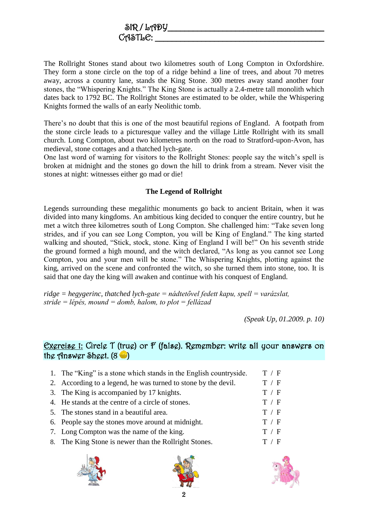The Rollright Stones stand about two kilometres south of Long Compton in Oxfordshire. They form a stone circle on the top of a ridge behind a line of trees, and about 70 metres away, across a country lane, stands the King Stone. 300 metres away stand another four stones, the "Whispering Knights." The King Stone is actually a 2.4-metre tall monolith which dates back to 1792 BC. The Rollright Stones are estimated to be older, while the Whispering Knights formed the walls of an early Neolithic tomb.

There's no doubt that this is one of the most beautiful regions of England. A footpath from the stone circle leads to a picturesque valley and the village Little Rollright with its small church. Long Compton, about two kilometres north on the road to Stratford-upon-Avon, has medieval, stone cottages and a thatched lych-gate.

One last word of warning for visitors to the Rollright Stones: people say the witch's spell is broken at midnight and the stones go down the hill to drink from a stream. Never visit the stones at night: witnesses either go mad or die!

## **The Legend of Rollright**

Legends surrounding these megalithic monuments go back to ancient Britain, when it was divided into many kingdoms. An ambitious king decided to conquer the entire country, but he met a witch three kilometres south of Long Compton. She challenged him: "Take seven long strides, and if you can see Long Compton, you will be King of England." The king started walking and shouted, "Stick, stock, stone. King of England I will be!" On his seventh stride the ground formed a high mound, and the witch declared, "As long as you cannot see Long Compton, you and your men will be stone." The Whispering Knights, plotting against the king, arrived on the scene and confronted the witch, so she turned them into stone, too. It is said that one day the king will awaken and continue with his conquest of England.

*ridge = hegygerinc, thatched lych-gate = nádtetővel fedett kapu, spell = varázslat, stride = lépés, mound = domb, halom, to plot = fellázad*

*(Speak Up, 01.2009. p. 10)* 

## Exercise 1: Circle T (true) or F (false). Remember: write all your answers on the Answer Sheet.  $(8 \bullet)$

| 1. The "King" is a stone which stands in the English countryside. | T / F |
|-------------------------------------------------------------------|-------|
| 2. According to a legend, he was turned to stone by the devil.    | T / F |
| 3. The King is accompanied by 17 knights.                         | T / F |
| 4. He stands at the centre of a circle of stones.                 | T / F |
| 5. The stones stand in a beautiful area.                          | T / F |
| 6. People say the stones move around at midnight.                 | T / F |
| 7. Long Compton was the name of the king.                         | T / F |
| 8. The King Stone is newer than the Rollright Stones.             | T / F |
|                                                                   |       |





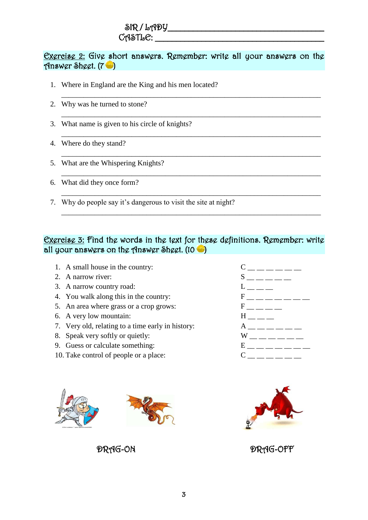# Exercise 2: Give short answers. Remember: write all your answers on the Answer Sheet. (7 )

\_\_\_\_\_\_\_\_\_\_\_\_\_\_\_\_\_\_\_\_\_\_\_\_\_\_\_\_\_\_\_\_\_\_\_\_\_\_\_\_\_\_\_\_\_\_\_\_\_\_\_\_\_\_\_\_\_\_\_\_\_\_\_\_\_\_\_\_\_\_

\_\_\_\_\_\_\_\_\_\_\_\_\_\_\_\_\_\_\_\_\_\_\_\_\_\_\_\_\_\_\_\_\_\_\_\_\_\_\_\_\_\_\_\_\_\_\_\_\_\_\_\_\_\_\_\_\_\_\_\_\_\_\_\_\_\_\_\_\_\_

\_\_\_\_\_\_\_\_\_\_\_\_\_\_\_\_\_\_\_\_\_\_\_\_\_\_\_\_\_\_\_\_\_\_\_\_\_\_\_\_\_\_\_\_\_\_\_\_\_\_\_\_\_\_\_\_\_\_\_\_\_\_\_\_\_\_\_\_\_\_

\_\_\_\_\_\_\_\_\_\_\_\_\_\_\_\_\_\_\_\_\_\_\_\_\_\_\_\_\_\_\_\_\_\_\_\_\_\_\_\_\_\_\_\_\_\_\_\_\_\_\_\_\_\_\_\_\_\_\_\_\_\_\_\_\_\_\_\_\_\_

\_\_\_\_\_\_\_\_\_\_\_\_\_\_\_\_\_\_\_\_\_\_\_\_\_\_\_\_\_\_\_\_\_\_\_\_\_\_\_\_\_\_\_\_\_\_\_\_\_\_\_\_\_\_\_\_\_\_\_\_\_\_\_\_\_\_\_\_\_\_

\_\_\_\_\_\_\_\_\_\_\_\_\_\_\_\_\_\_\_\_\_\_\_\_\_\_\_\_\_\_\_\_\_\_\_\_\_\_\_\_\_\_\_\_\_\_\_\_\_\_\_\_\_\_\_\_\_\_\_\_\_\_\_\_\_\_\_\_\_\_

\_\_\_\_\_\_\_\_\_\_\_\_\_\_\_\_\_\_\_\_\_\_\_\_\_\_\_\_\_\_\_\_\_\_\_\_\_\_\_\_\_\_\_\_\_\_\_\_\_\_\_\_\_\_\_\_\_\_\_\_\_\_\_\_\_\_\_\_\_\_

- 1. Where in England are the King and his men located?
- 2. Why was he turned to stone?
- 3. What name is given to his circle of knights?
- 4. Where do they stand?
- 5. What are the Whispering Knights?
- 6. What did they once form?
- 7. Why do people say it's dangerous to visit the site at night?

# Exercise 3: Find the words in the text for these definitions. Remember: write all your answers on the Answer Sheet.  $(10 - )$

- 1. A small house in the country:  $C_{\text{max}} = C_{\text{max}} C$
- 
- 3. A narrow country road:  $L_{\perp \text{}}$   $L_{\perp \text{}}$
- 4. You walk along this in the country:  $F_{\perp} = -$  =  $\frac{F_{\perp}}{F_{\perp}}$
- 5. An area where grass or a crop grows:  $F_{\text{max}} =$
- 6. A very low mountain:  $H_{\text{max}} = H_{\text{max}}$
- 7. Very old, relating to a time early in history:  $A_1 = A_2 = A_3 = A_4$
- 8. Speak very softly or quietly:  $W_{\text{max}} = 0$
- 9. Guess or calculate something:  $E_{\text{max}} = E_{\text{max}} = E_{\text{max}}$
- 10. Take control of people or a place:  $C_{\text{max}} = C_{\text{max}} = C$







DRAG-ON DRAG-OFF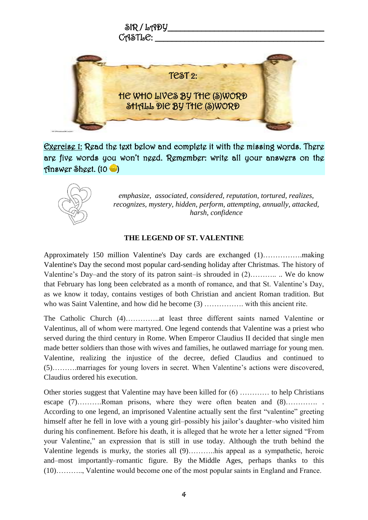

Exercise 1: Read the text below and complete it with the missing words. There are five words you won't need. Remember: write all your answers on the Answer Sheet. (10 )



*emphasize, associated, considered, reputation, tortured, realizes, recognizes, mystery, hidden, perform, attempting, annually, attacked, harsh, confidence*

## **THE LEGEND OF ST. VALENTINE**

Approximately 150 million Valentine's Day cards are exchanged (1)…………….making Valentine's Day the second most popular card-sending holiday after Christmas. The history of Valentine's Day–and the story of its patron saint–is shrouded in (2)……….. .. We do know that February has long been celebrated as a month of romance, and that St. Valentine's Day, as we know it today, contains vestiges of both Christian and ancient Roman tradition. But who was Saint Valentine, and how did he become (3) ……………. with this ancient rite.

The Catholic Church (4)…………..at least three different saints named Valentine or Valentinus, all of whom were martyred. One legend contends that Valentine was a priest who served during the third century in Rome. When Emperor Claudius II decided that single men made better soldiers than those with wives and families, he outlawed marriage for young men. Valentine, realizing the injustice of the decree, defied Claudius and continued to (5)……….marriages for young lovers in secret. When Valentine's actions were discovered, Claudius ordered his execution.

Other stories suggest that Valentine may have been killed for (6) ………… to help Christians escape (7)………Roman prisons, where they were often beaten and (8)………….. According to one legend, an imprisoned Valentine actually sent the first "valentine" greeting himself after he fell in love with a young girl–possibly his jailor's daughter–who visited him during his confinement. Before his death, it is alleged that he wrote her a letter signed "From your Valentine," an expression that is still in use today. Although the truth behind the Valentine legends is murky, the stories all (9)………..his appeal as a sympathetic, heroic and–most importantly–romantic figure. By the [Middle Ages,](http://www.history.com/topics/middle-ages) perhaps thanks to this (10)……….., Valentine would become one of the most popular saints in England and France.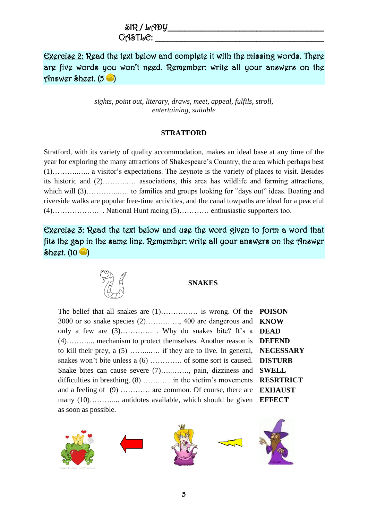Exercise 2: Read the text below and complete it with the missing words. There are five words you won't need. Remember: write all your answers on the Answer Sheet.  $(5 \bullet)$ 

> *sights, point out, literary, draws, meet, appeal, fulfils, stroll, entertaining, suitable*

#### **STRATFORD**

Stratford, with its variety of quality accommodation, makes an ideal base at any time of the year for exploring the many attractions of Shakespeare's Country, the area which perhaps best (1)………..….. a visitor's expectations. The keynote is the variety of places to visit. Besides its historic and (2)………..… associations, this area has wildlife and farming attractions, which will (3)…………….. to families and groups looking for "days out" ideas. Boating and riverside walks are popular free-time activities, and the canal towpaths are ideal for a peaceful (4)………………. . National Hunt racing (5)………… enthusiastic supporters too.

Exercise 3: Read the text below and use the word given to form a word that fits the gap in the same line. Remember: write all your answers on the Answer  $\delta$ heet. (10 $\bullet$ )



#### **SNAKES**

The belief that all snakes are  $(1)$ ………… is wrong. Of the 3000 or so snake species (2)……….…., 400 are dangerous and only a few are (3)…………. . Why do snakes bite? It's a (4)………... mechanism to protect themselves. Another reason is to kill their prey, a (5) ……...…. if they are to live. In general, snakes won't bite unless a  $(6)$  ………….. of some sort is caused. Snake bites can cause severe (7)…..……., pain, dizziness and difficulties in breathing, (8) ……....... in the victim's movements and a feeling of (9) ………… are common. Of course, there are many (10)…………... antidotes available, which should be given as soon as possible.

**POISON KNOW DEAD DEFEND NECESSARY DISTURB SWELL RESRTRICT EXHAUST EFFECT**

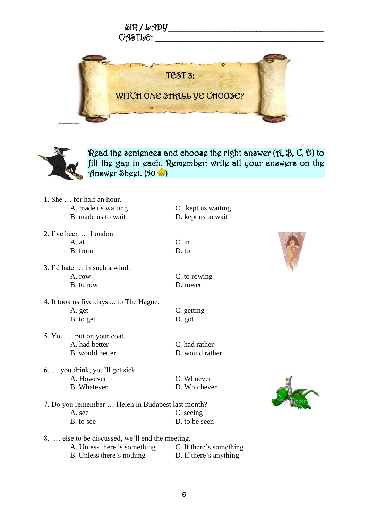



Read the sentences and choose the right answer (A, B, C, D) to fill the gap in each. Remember: write all your answers on the Answer Sheet. (50 )

- 1. She … for half an hour. A. made us waiting C. kept us waiting B. made us to wait D. kept us to wait 2. I've been … London. A. at C. in B. from D. to 3. I'd hate … in such a wind. A. row C. to rowing
- B. to row D. rowed
- 4. It took us five days ... to The Hague. A. get C. getting B. to get D. got
- 5. You … put on your coat. A. had better C. had rather B. would better D. would rather
- 6. … you drink, you'll get sick. A. However C. Whoever B. Whatever D. Whichever
- 
- 





7. Do you remember … Helen in Budapest last month? A. see C. seeing B. to see D. to be seen

8. … else to be discussed, we'll end the meeting.

A. Unless there is something C. If there's something B. Unless there's nothing D. If there's anything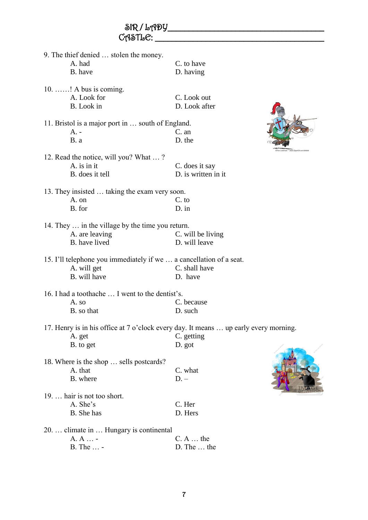|                                         | 9. The thief denied  stolen the money.                              |                                                                                      |  |
|-----------------------------------------|---------------------------------------------------------------------|--------------------------------------------------------------------------------------|--|
|                                         | A. had                                                              | C. to have                                                                           |  |
|                                         | B. have                                                             | D. having                                                                            |  |
|                                         |                                                                     |                                                                                      |  |
|                                         | 10. ! A bus is coming.                                              |                                                                                      |  |
|                                         | A. Look for                                                         | C. Look out                                                                          |  |
|                                         | B. Look in                                                          | D. Look after                                                                        |  |
|                                         | 11. Bristol is a major port in  south of England.                   |                                                                                      |  |
|                                         | $A. -$                                                              | C. an                                                                                |  |
|                                         | B. a                                                                | D. the                                                                               |  |
|                                         |                                                                     |                                                                                      |  |
|                                         | 12. Read the notice, will you? What ?                               |                                                                                      |  |
|                                         | A. is in it                                                         | C. does it say                                                                       |  |
|                                         | B. does it tell                                                     | D. is written in it                                                                  |  |
|                                         |                                                                     |                                                                                      |  |
|                                         | 13. They insisted  taking the exam very soon.                       |                                                                                      |  |
|                                         | A. on                                                               | C. to                                                                                |  |
|                                         | B. for                                                              | $D.$ in                                                                              |  |
|                                         |                                                                     |                                                                                      |  |
|                                         | 14. They  in the village by the time you return.<br>A. are leaving  | C. will be living                                                                    |  |
|                                         | B. have lived                                                       | D. will leave                                                                        |  |
|                                         |                                                                     |                                                                                      |  |
|                                         | 15. I'll telephone you immediately if we  a cancellation of a seat. |                                                                                      |  |
|                                         | A. will get                                                         | C. shall have                                                                        |  |
|                                         | B. will have                                                        | D. have                                                                              |  |
|                                         |                                                                     |                                                                                      |  |
|                                         | 16. I had a toothache  I went to the dentist's.                     |                                                                                      |  |
|                                         | A. so                                                               | C. because                                                                           |  |
|                                         | B. so that                                                          | D. such                                                                              |  |
|                                         |                                                                     |                                                                                      |  |
|                                         |                                                                     | 17. Henry is in his office at 7 o'clock every day. It means  up early every morning. |  |
|                                         | A. get                                                              | C. getting                                                                           |  |
|                                         | B. to get                                                           | D. got                                                                               |  |
|                                         | 18. Where is the shop  sells postcards?                             |                                                                                      |  |
|                                         | A. that                                                             | C. what                                                                              |  |
|                                         | B. where                                                            | $D -$                                                                                |  |
|                                         |                                                                     |                                                                                      |  |
|                                         | 19.  hair is not too short.                                         |                                                                                      |  |
|                                         | A. She's                                                            | C. Her                                                                               |  |
|                                         | B. She has                                                          | D. Hers                                                                              |  |
|                                         |                                                                     |                                                                                      |  |
| 20.  climate in  Hungary is continental |                                                                     |                                                                                      |  |
|                                         | A. A  -                                                             | $C. A $ the                                                                          |  |
|                                         | B. The  -                                                           | D. The  the                                                                          |  |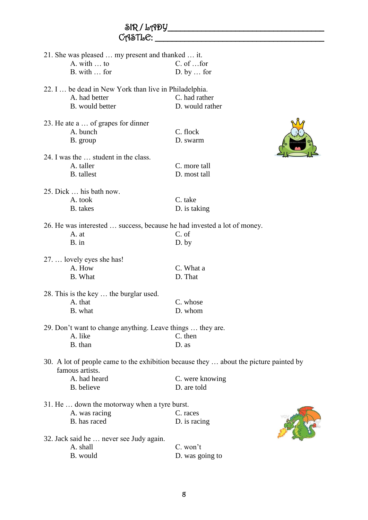| $C_A$ STL $C$ : |                                                                         |                                                                                       |  |  |
|-----------------|-------------------------------------------------------------------------|---------------------------------------------------------------------------------------|--|--|
|                 | 21. She was pleased  my present and thanked  it.                        |                                                                                       |  |  |
|                 | A. with  to                                                             | C. of  for                                                                            |  |  |
|                 | B. with  for                                                            | $D.$ by $\ldots$ for                                                                  |  |  |
|                 | 22. I  be dead in New York than live in Philadelphia.                   |                                                                                       |  |  |
|                 | A. had better                                                           | C. had rather                                                                         |  |  |
|                 | B. would better                                                         | D. would rather                                                                       |  |  |
|                 | 23. He ate a  of grapes for dinner                                      |                                                                                       |  |  |
|                 | A. bunch                                                                | C. flock                                                                              |  |  |
|                 | B. group                                                                | D. swarm                                                                              |  |  |
|                 |                                                                         |                                                                                       |  |  |
|                 | 24. I was the  student in the class.                                    |                                                                                       |  |  |
|                 | A. taller                                                               | C. more tall                                                                          |  |  |
|                 | <b>B.</b> tallest                                                       | D. most tall                                                                          |  |  |
|                 | 25. Dick  his bath now.                                                 |                                                                                       |  |  |
|                 | A. took                                                                 | C. take                                                                               |  |  |
|                 | <b>B.</b> takes                                                         | D. is taking                                                                          |  |  |
|                 | 26. He was interested  success, because he had invested a lot of money. |                                                                                       |  |  |
|                 | A. at                                                                   | C. of                                                                                 |  |  |
|                 | B. in                                                                   | $D.$ by                                                                               |  |  |
|                 |                                                                         |                                                                                       |  |  |
|                 | 27.  lovely eyes she has!                                               |                                                                                       |  |  |
|                 | A. How                                                                  | C. What a                                                                             |  |  |
|                 | <b>B.</b> What                                                          | D. That                                                                               |  |  |
|                 | 28. This is the key  the burglar used.                                  |                                                                                       |  |  |
|                 | A. that                                                                 | C. whose                                                                              |  |  |
|                 | B. what                                                                 | D. whom                                                                               |  |  |
|                 | 29. Don't want to change anything. Leave things  they are.              |                                                                                       |  |  |
|                 | A. like                                                                 | C. then                                                                               |  |  |
|                 | B. than                                                                 | D. as                                                                                 |  |  |
|                 | famous artists.                                                         | 30. A lot of people came to the exhibition because they  about the picture painted by |  |  |
|                 | A. had heard                                                            | C. were knowing                                                                       |  |  |
|                 | B. believe                                                              | D. are told                                                                           |  |  |
|                 |                                                                         |                                                                                       |  |  |
|                 | 31. He  down the motorway when a tyre burst.                            |                                                                                       |  |  |
|                 | A. was racing                                                           | C. races                                                                              |  |  |
|                 | B. has raced                                                            | D. is racing                                                                          |  |  |
|                 | 32. Jack said he  never see Judy again.                                 |                                                                                       |  |  |
|                 | A. shall                                                                | C. won't                                                                              |  |  |
|                 | B. would                                                                | D. was going to                                                                       |  |  |
|                 |                                                                         |                                                                                       |  |  |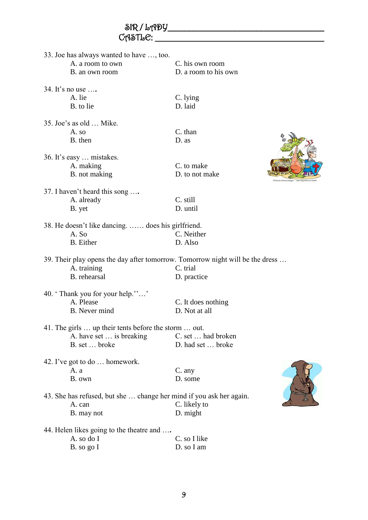|                                                             | CASTLE: |                                                                               |                             |
|-------------------------------------------------------------|---------|-------------------------------------------------------------------------------|-----------------------------|
| 33. Joe has always wanted to have , too.                    |         |                                                                               |                             |
| A. a room to own                                            |         | C. his own room                                                               |                             |
| B. an own room                                              |         | D. a room to his own                                                          |                             |
| 34. It's no use                                             |         |                                                                               |                             |
| A. lie                                                      |         | C. lying                                                                      |                             |
| B. to lie                                                   |         | D. laid                                                                       |                             |
| 35. Joe's as old  Mike.                                     |         |                                                                               |                             |
| A. so                                                       |         | C. than                                                                       |                             |
| B. then                                                     |         | D. as                                                                         |                             |
| 36. It's easy  mistakes.                                    |         |                                                                               |                             |
| A. making                                                   |         | C. to make                                                                    |                             |
| B. not making                                               |         | D. to not make                                                                | is Holmes Designs * www.Cli |
| 37. I haven't heard this song                               |         |                                                                               |                             |
| A. already                                                  |         | C. still                                                                      |                             |
| B. yet                                                      |         | D. until                                                                      |                             |
| 38. He doesn't like dancing.  does his girlfriend.<br>A. So |         | C. Neither                                                                    |                             |
| <b>B.</b> Either                                            |         | D. Also                                                                       |                             |
|                                                             |         |                                                                               |                             |
|                                                             |         | 39. Their play opens the day after tomorrow. Tomorrow night will be the dress |                             |
| A. training                                                 |         | C. trial                                                                      |                             |
| B. rehearsal                                                |         | D. practice                                                                   |                             |
| 40. 'Thank you for your help.""                             |         |                                                                               |                             |
| A. Please                                                   |         | C. It does nothing                                                            |                             |
| B. Never mind                                               |         | D. Not at all                                                                 |                             |
| 41. The girls  up their tents before the storm  out.        |         |                                                                               |                             |
| A. have set  is breaking                                    |         | C. set  had broken                                                            |                             |
| B. set  broke                                               |         | D. had set  broke                                                             |                             |
| 42. I've got to do  homework.                               |         |                                                                               |                             |
| A. a                                                        |         | C. any                                                                        |                             |
| B. own                                                      |         | D. some                                                                       |                             |
|                                                             |         | 43. She has refused, but she  change her mind if you ask her again.           |                             |
| A. can                                                      |         | C. likely to                                                                  |                             |
| B. may not                                                  |         | D. might                                                                      |                             |
| 44. Helen likes going to the theatre and                    |         |                                                                               |                             |
| A. so do I                                                  |         | C. so I like                                                                  |                             |
| B. so go I                                                  |         | D. so I am                                                                    |                             |

 $\delta$ R/LADY